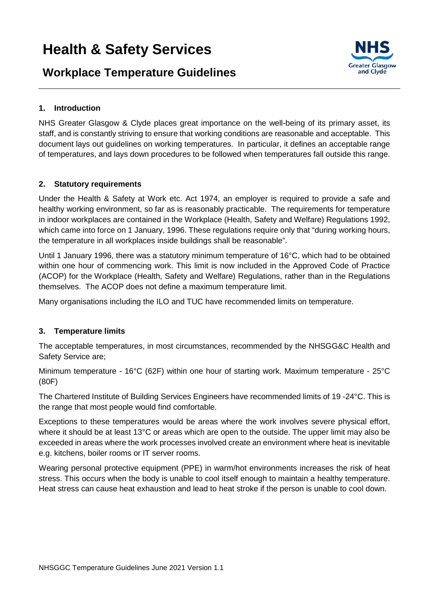# **Workplace Temperature Guidelines**



# **1. Introduction**

NHS Greater Glasgow & Clyde places great importance on the well-being of its primary asset, its staff, and is constantly striving to ensure that working conditions are reasonable and acceptable. This document lays out guidelines on working temperatures. In particular, it defines an acceptable range of temperatures, and lays down procedures to be followed when temperatures fall outside this range.

# **2. Statutory requirements**

Under the Health & Safety at Work etc. Act 1974, an employer is required to provide a safe and healthy working environment, so far as is reasonably practicable. The requirements for temperature in indoor workplaces are contained in the Workplace (Health, Safety and Welfare) Regulations 1992, which came into force on 1 January, 1996. These regulations require only that "during working hours, the temperature in all workplaces inside buildings shall be reasonable".

Until 1 January 1996, there was a statutory minimum temperature of 16°C, which had to be obtained within one hour of commencing work. This limit is now included in the Approved Code of Practice (ACOP) for the Workplace (Health, Safety and Welfare) Regulations, rather than in the Regulations themselves. The ACOP does not define a maximum temperature limit.

Many organisations including the ILO and TUC have recommended limits on temperature.

## **3. Temperature limits**

The acceptable temperatures, in most circumstances, recommended by the NHSGG&C Health and Safety Service are;

Minimum temperature - 16°C (62F) within one hour of starting work. Maximum temperature - 25°C (80F)

The Chartered Institute of Building Services Engineers have recommended limits of 19 -24°C. This is the range that most people would find comfortable.

Exceptions to these temperatures would be areas where the work involves severe physical effort, where it should be at least 13°C or areas which are open to the outside. The upper limit may also be exceeded in areas where the work processes involved create an environment where heat is inevitable e.g. kitchens, boiler rooms or IT server rooms.

Wearing personal protective equipment (PPE) in warm/hot environments increases the risk of heat stress. This occurs when the body is unable to cool itself enough to maintain a healthy temperature. Heat stress can cause heat exhaustion and lead to heat stroke if the person is unable to cool down.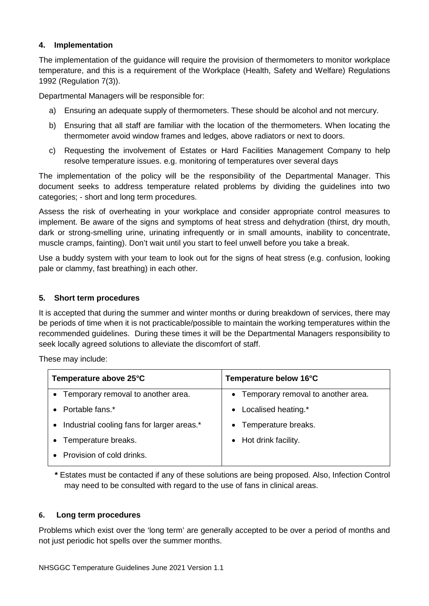# **4. Implementation**

The implementation of the guidance will require the provision of thermometers to monitor workplace temperature, and this is a requirement of the Workplace (Health, Safety and Welfare) Regulations 1992 (Regulation 7(3)).

Departmental Managers will be responsible for:

- a) Ensuring an adequate supply of thermometers. These should be alcohol and not mercury.
- b) Ensuring that all staff are familiar with the location of the thermometers. When locating the thermometer avoid window frames and ledges, above radiators or next to doors.
- c) Requesting the involvement of Estates or Hard Facilities Management Company to help resolve temperature issues. e.g. monitoring of temperatures over several days

The implementation of the policy will be the responsibility of the Departmental Manager. This document seeks to address temperature related problems by dividing the guidelines into two categories; - short and long term procedures.

Assess the risk of overheating in your workplace and consider appropriate control measures to implement. Be aware of the signs and symptoms of heat stress and dehydration (thirst, dry mouth, dark or strong-smelling urine, urinating infrequently or in small amounts, inability to concentrate, muscle cramps, fainting). Don't wait until you start to feel unwell before you take a break.

Use a buddy system with your team to look out for the signs of heat stress (e.g. confusion, looking pale or clammy, fast breathing) in each other.

## **5. Short term procedures**

It is accepted that during the summer and winter months or during breakdown of services, there may be periods of time when it is not practicable/possible to maintain the working temperatures within the recommended guidelines. During these times it will be the Departmental Managers responsibility to seek locally agreed solutions to alleviate the discomfort of staff.

These may include:

| Temperature above 25°C                     | Temperature below 16°C               |
|--------------------------------------------|--------------------------------------|
| • Temporary removal to another area.       | • Temporary removal to another area. |
| Portable fans.*                            | Localised heating.*<br>$\bullet$     |
| Industrial cooling fans for larger areas.* | • Temperature breaks.                |
| • Temperature breaks.                      | Hot drink facility.<br>$\bullet$     |
| Provision of cold drinks.                  |                                      |

**\*** Estates must be contacted if any of these solutions are being proposed. Also, Infection Control may need to be consulted with regard to the use of fans in clinical areas.

## **6. Long term procedures**

Problems which exist over the 'long term' are generally accepted to be over a period of months and not just periodic hot spells over the summer months.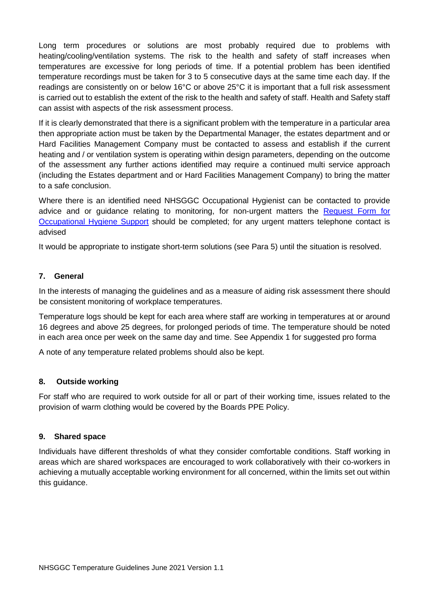Long term procedures or solutions are most probably required due to problems with heating/cooling/ventilation systems. The risk to the health and safety of staff increases when temperatures are excessive for long periods of time. If a potential problem has been identified temperature recordings must be taken for 3 to 5 consecutive days at the same time each day. If the readings are consistently on or below 16°C or above 25°C it is important that a full risk assessment is carried out to establish the extent of the risk to the health and safety of staff. Health and Safety staff can assist with aspects of the risk assessment process.

If it is clearly demonstrated that there is a significant problem with the temperature in a particular area then appropriate action must be taken by the Departmental Manager, the estates department and or Hard Facilities Management Company must be contacted to assess and establish if the current heating and / or ventilation system is operating within design parameters, depending on the outcome of the assessment any further actions identified may require a continued multi service approach (including the Estates department and or Hard Facilities Management Company) to bring the matter to a safe conclusion.

Where there is an identified need NHSGGC Occupational Hygienist can be contacted to provide advice and or guidance relating to monitoring, for non-urgent matters the [Request Form](https://www.nhsggc.org.uk/media/237478/request-form-for-occupational-hygiene-suport.doc) for [Occupational Hygiene Support](https://www.nhsggc.org.uk/media/237478/request-form-for-occupational-hygiene-suport.doc) should be completed; for any urgent matters telephone contact is advised

It would be appropriate to instigate short-term solutions (see Para 5) until the situation is resolved.

# **7. General**

In the interests of managing the guidelines and as a measure of aiding risk assessment there should be consistent monitoring of workplace temperatures.

Temperature logs should be kept for each area where staff are working in temperatures at or around 16 degrees and above 25 degrees, for prolonged periods of time. The temperature should be noted in each area once per week on the same day and time. See Appendix 1 for suggested pro forma

A note of any temperature related problems should also be kept.

## **8. Outside working**

For staff who are required to work outside for all or part of their working time, issues related to the provision of warm clothing would be covered by the Boards PPE Policy.

## **9. Shared space**

Individuals have different thresholds of what they consider comfortable conditions. Staff working in areas which are shared workspaces are encouraged to work collaboratively with their co-workers in achieving a mutually acceptable working environment for all concerned, within the limits set out within this guidance.